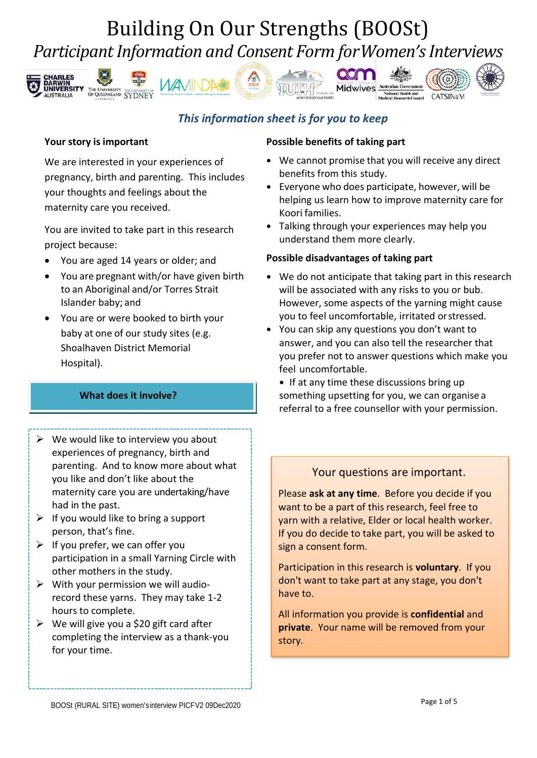# Building On Our Strengths (BOOSt) *Participant Information and Consent Form forWomen's Interviews*













### **Your story is important**

We are interested in your experiences of pregnancy, birth and parenting. This includes your thoughts and feelings about the maternity care you received.

You are invited to take part in this research project because:

- You are aged 14 years or older; and
- You are pregnant with/or have given birth to an Aboriginal and/or Torres Strait Islander baby; and
- You are or were booked to birth your baby at one of our study sites (e.g. Shoalhaven District Memorial Hospital).

### **What does it involve?**

## $\triangleright$  We would like to interview you about

- experiences of pregnancy, birth and parenting. And to know more about what you like and don't like about the maternity care you are undertaking/have had in the past.
- $\triangleright$  If you would like to bring a support person, that's fine.
- $\triangleright$  If you prefer, we can offer you participation in a small Yarning Circle with other mothers in the study.
- $\triangleright$  With your permission we will audiorecord these yarns. They may take 1-2 hours to complete.
- $\triangleright$  We will give you a \$20 gift card after completing the interview as a thank-you for your time.

### **Possible benefits of taking part**

**acm** 

- **•** We cannot promise that you will receive any direct benefits from this study.
- **•** Everyone who does participate, however, will be helping us learn how to improve maternity care for Koori families.
- **•** Talking through your experiences may help you understand them more clearly.

### **Possible disadvantages of taking part**

- **•** We do not anticipate that taking part in this research will be associated with any risks to you or bub. However, some aspects of the yarning might cause you to feel uncomfortable, irritated orstressed.
- **•** You can skip any questions you don't want to answer, and you can also tell the researcher that you prefer not to answer questions which make you feel uncomfortable.
	- **•** If at any time these discussions bring up something upsetting for you, we can organise a referral to a free counsellor with your permission.

## Your questions are important.

Please **ask at any time**. Before you decide if you want to be a part of this research, feel free to yarn with a relative, Elder or local health worker. If you do decide to take part, you will be asked to sign a consent form.

Participation in this research is **voluntary**. If you don't want to take part at any stage, you don't have to.

All information you provide is **confidential** and **private**. Your name will be removed from your story.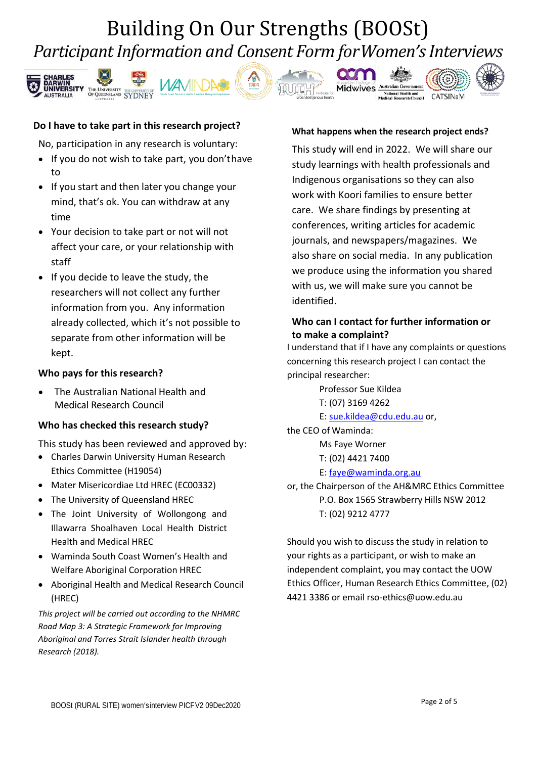# Building On Our Strengths (BOOSt) *Participant Information and Consent Form forWomen's Interviews*











#### **Do I have to take part in this research project?**

No, participation in any research is voluntary:

- If you do not wish to take part, you don'thave to
- If you start and then later you change your mind, that's ok. You can withdraw at any time
- Your decision to take part or not will not affect your care, or your relationship with staff
- If you decide to leave the study, the researchers will not collect any further information from you. Any information already collected, which it's not possible to separate from other information will be kept.

#### **Who pays for this research?**

• The Australian National Health and Medical Research Council

#### **Who has checked this research study?**

This study has been reviewed and approved by:

- Charles Darwin University Human Research Ethics Committee (H19054)
- Mater Misericordiae Ltd HREC (EC00332)
- The University of Queensland HREC
- The Joint University of Wollongong and Illawarra Shoalhaven Local Health District Health and Medical HREC
- Waminda South Coast Women's Health and Welfare Aboriginal Corporation HREC
- Aboriginal Health and Medical Research Council (HREC)

*This project will be carried out according to the NHMRC Road Map 3: A Strategic Framework for Improving Aboriginal and Torres Strait Islander health through Research (2018).*

#### **What happens when the research project ends?**

This study will end in 2022. We will share our study learnings with health professionals and Indigenous organisations so they can also work with Koori families to ensure better care. We share findings by presenting at conferences, writing articles for academic journals, and newspapers/magazines. We also share on social media. In any publication we produce using the information you shared with us, we will make sure you cannot be identified.

### **Who can I contact for further information or to make a complaint?**

I understand that if I have any complaints or questions concerning this research project I can contact the principal researcher:

> Professor Sue Kildea T: (07) 3169 4262

E[: sue.kildea@cdu.edu.au](mailto:sue.kildea@cdu.edu.au) or,

the CEO of Waminda:

Ms Faye Worner

T: (02) 4421 7400

#### E[: faye@waminda.org.au](mailto:faye@waminda.org.au)

or, the Chairperson of the AH&MRC Ethics Committee P.O. Box 1565 Strawberry Hills NSW 2012 T: (02) 9212 4777

Should you wish to discuss the study in relation to your rights as a participant, or wish to make an independent complaint, you may contact the UOW Ethics Officer, Human Research Ethics Committee, (02) 4421 3386 or email rso-ethics@uow.edu.au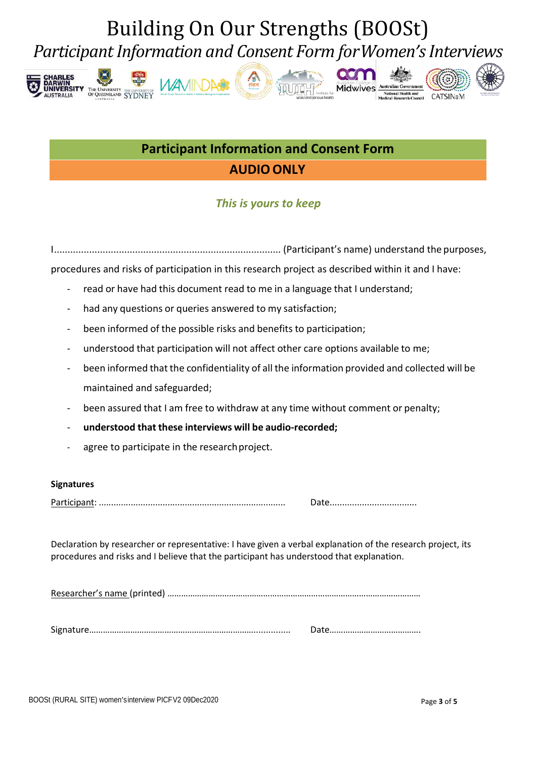# Building On Our Strengths (BOOSt) *Participant Information and Consent Form forWomen's Interviews*















# **AUDIO ONLY Participant Information and Consent Form**

## *This is yours to keep*

I.................................................................................... (Participant's name) understand the purposes,

procedures and risks of participation in this research project as described within it and I have:

- read or have had this document read to me in a language that I understand;
- had any questions or queries answered to my satisfaction;
- been informed of the possible risks and benefits to participation;
- understood that participation will not affect other care options available to me;
- been informed that the confidentiality of all the information provided and collected will be maintained and safeguarded;
- been assured that I am free to withdraw at any time without comment or penalty;
- **understood that these interviews will be audio-recorded;**
- agree to participate in the research project.

#### **Signatures**

Participant: ............................................................................ Date...................................

Declaration by researcher or representative: I have given a verbal explanation of the research project, its procedures and risks and I believe that the participant has understood that explanation.

Researcher's name (printed) …………………………………………………………………………………………………

Signature………………………………………………………………............... Date………………………………….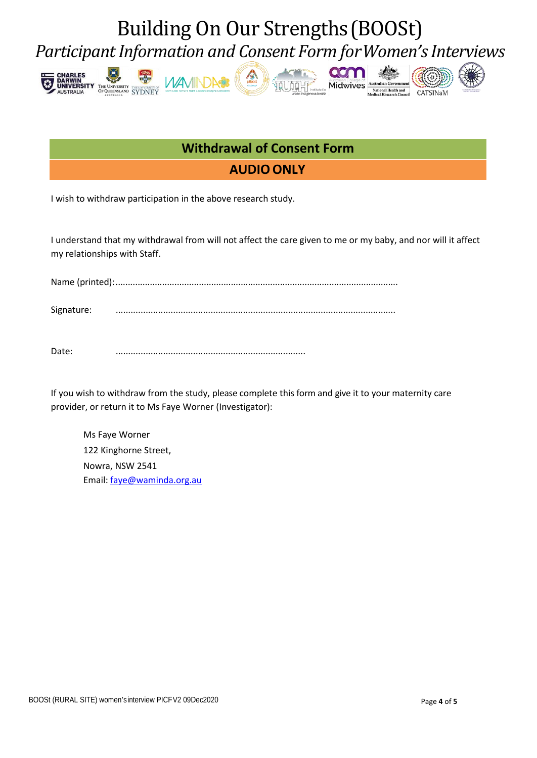# Building On Our Strengths(BOOSt) *Participant Information and Consent Form forWomen's Interviews*







**QON** Midwive





# **AUDIO ONLY Withdrawal of Consent Form**

I wish to withdraw participation in the above research study.

I understand that my withdrawal from will not affect the care given to me or my baby, and nor will it affect my relationships with Staff.

Name (printed):...................................................................................................................

Signature: ................................................................................................................

Date: ............................................................................

If you wish to withdraw from the study, please complete this form and give it to your maternity care provider, or return it to Ms Faye Worner (Investigator):

Ms Faye Worner 122 Kinghorne Street, Nowra, NSW 2541 Email[: faye@waminda.org.au](mailto:faye@waminda.org.au)